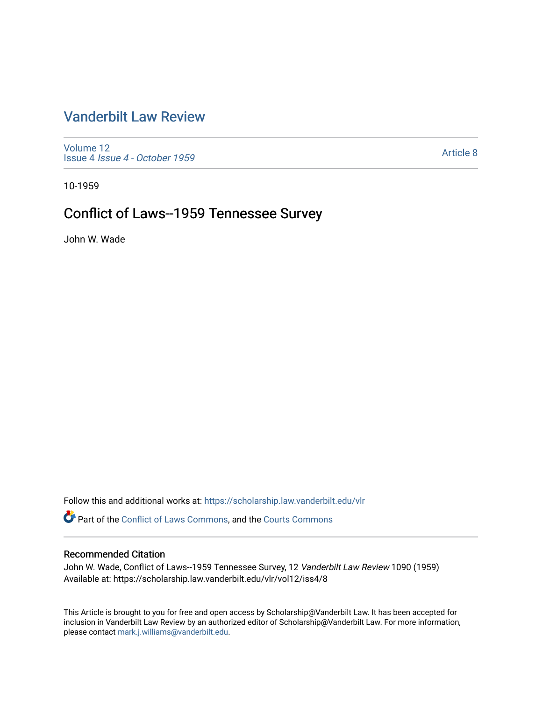## [Vanderbilt Law Review](https://scholarship.law.vanderbilt.edu/vlr)

[Volume 12](https://scholarship.law.vanderbilt.edu/vlr/vol12) Issue 4 [Issue 4 - October 1959](https://scholarship.law.vanderbilt.edu/vlr/vol12/iss4) 

[Article 8](https://scholarship.law.vanderbilt.edu/vlr/vol12/iss4/8) 

10-1959

# Conflict of Laws--1959 Tennessee Survey

John W. Wade

Follow this and additional works at: [https://scholarship.law.vanderbilt.edu/vlr](https://scholarship.law.vanderbilt.edu/vlr?utm_source=scholarship.law.vanderbilt.edu%2Fvlr%2Fvol12%2Fiss4%2F8&utm_medium=PDF&utm_campaign=PDFCoverPages)

Part of the [Conflict of Laws Commons,](http://network.bepress.com/hgg/discipline/588?utm_source=scholarship.law.vanderbilt.edu%2Fvlr%2Fvol12%2Fiss4%2F8&utm_medium=PDF&utm_campaign=PDFCoverPages) and the [Courts Commons](http://network.bepress.com/hgg/discipline/839?utm_source=scholarship.law.vanderbilt.edu%2Fvlr%2Fvol12%2Fiss4%2F8&utm_medium=PDF&utm_campaign=PDFCoverPages)

### Recommended Citation

John W. Wade, Conflict of Laws--1959 Tennessee Survey, 12 Vanderbilt Law Review 1090 (1959) Available at: https://scholarship.law.vanderbilt.edu/vlr/vol12/iss4/8

This Article is brought to you for free and open access by Scholarship@Vanderbilt Law. It has been accepted for inclusion in Vanderbilt Law Review by an authorized editor of Scholarship@Vanderbilt Law. For more information, please contact [mark.j.williams@vanderbilt.edu.](mailto:mark.j.williams@vanderbilt.edu)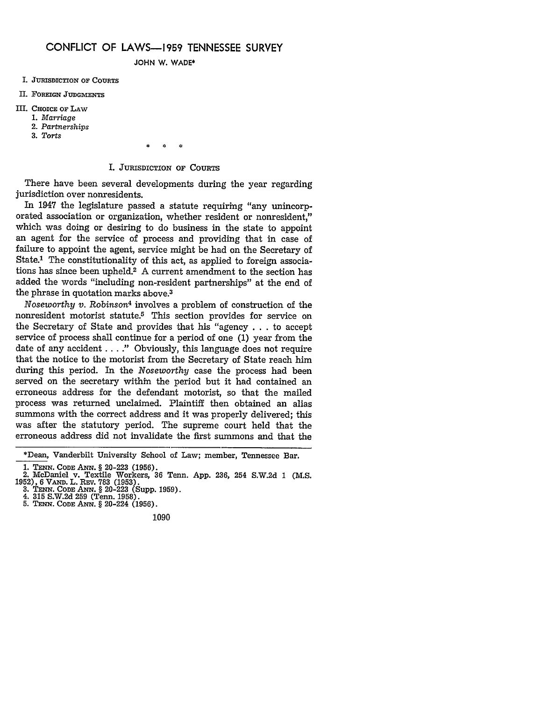#### **CONFLICT** OF **LAWS-1959 TENNESSEE** SURVEY

**JOHN** W. WADE\*

- **I. JURISDICTION OF COURTS**
- **II. FOREIGN JUDGMENTS**
- III. **CHOICE OF LAW**
	- **1.** *Marriage*
	- 2. *Partnerships*
	- **3.** *Torts*

*\* €'* \*

#### I. JURISDICTION OF **COURTS**

There have been several developments during the year regarding jurisdiction over nonresidents.

In 1947 the legislature passed a statute requiring "any unincorporated association or organization, whether resident or nonresident." which was doing or desiring to do business in the state to appoint an agent for the service of process and providing that in case of failure to appoint the agent, service might be had on the Secretary of State.<sup>1</sup> The constitutionality of this act, as applied to foreign associations has since been upheld.2 A current amendment to the section has added the words "including non-resident partnerships" at the end of the phrase in quotation marks above.3

*Noseworthy v. Robinson<sup>4</sup>* involves a problem of construction of the nonresident motorist statute.5 This section provides for service on the Secretary of State and provides that his "agency . . . to accept service of process shall continue for a period of one (1) year from the date of any accident . **. . ."** Obviously, this language does not require that the notice to the motorist from the Secretary of State reach him during this period. In the *Noseworthy* case the process had been served on the secretary within the period but it had contained an erroneous address for the defendant motorist, so that the mailed process was returned unclaimed. Plaintiff then obtained an alias summons with the correct address and it was properly delivered; this was after the statutory period. The supreme court held that the erroneous address did not invalidate the first summons and that the

1090

<sup>\*</sup>Dean, Vanderbilt University School of Law; member, Tennessee Bar.

**<sup>1.</sup> TENN. CODE** ANN. § 20-223 (1956). 2. McDaniel v. Textile Workers, 36 Tenn. App. 236, 254 S.W.2d 1 **(M.S.** 1952), 6 VAND. L. REV. 783 (1953).<br>
3. TENN. CODE ANN. § 20-223 (Supp. 1959)<br>
4. 315 S.W.2d 259 (Tenn. 1958).<br>
5. TENN. CODE ANN. § 20-224 (1956).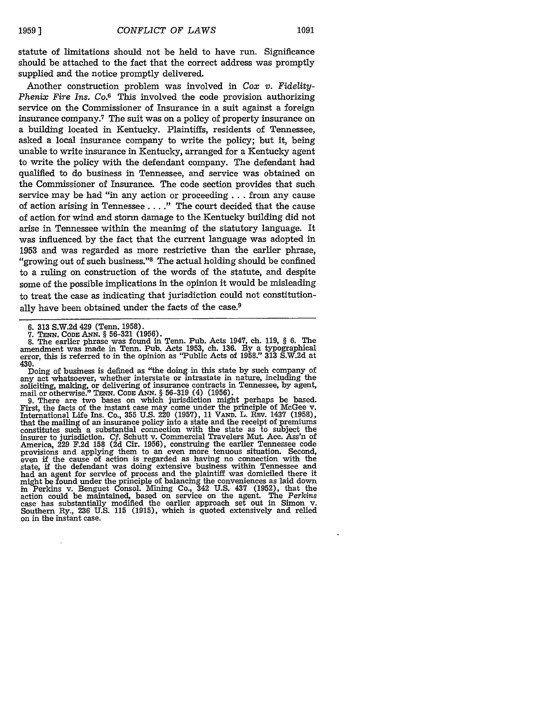statute of limitations should not be held to have run. Significance should be attached to the fact that the correct address was promptly supplied and the notice promptly delivered.

Another construction problem was involved in *Cox v. Fidelity-Phenix Fire Ins. Co.6* This involved the code provision authorizing service on the Commissioner of Insurance in a suit against a foreign insurance company.7 The suit was on a policy of property insurance on a building located in Kentucky. Plaintiffs, residents of Tennessee, asked a local insurance company to write the policy; but it, being unable to write insurance in Kentucky, arranged for a Kentucky agent to write the policy with the defendant company. The defendant had qualified to do business in Tennessee, and service was obtained on the Commissioner of Insurance. The code section provides that such service may be had "in any action or proceeding **...** from any cause of action arising in Tennessee **... ."** The court decided that the cause of action for wind and storm damage to the Kentucky building did not arise in Tennessee within the meaning of the statutory language. It was influenced by the fact that the current language was adopted in 1953 and was regarded as more restrictive than the earlier phrase, "growing out of such business." The actual holding should be confined to a ruling on construction of the words of the statute, and despite some of the possible implications in the opinion it would be misleading to treat the case as indicating that jurisdiction could not constitutionally have been obtained under the facts of the case.<sup>9</sup>

**7. TE-N. CoD:** ANx. § 56-321 (1956).

Doing of business is defined as "the doing in this state by such company of any act whatsoever, whether interstate or intrastate in nature, including the soliciting, making, or delivering of insurance contracts in Tennessee, by agent, mail or otherwise." TENN. **COD** *AN.* § 56-319 (4) (1956).

D. There are two bases on which jurisdiction might perhaps be based.<br>First, the facts of the instant case may come under the principle of McGee v.<br>International Life Ins. Co., 355 U.S. 220 (1957), 11 VAND. L. REV. 1437 (19 that the mailing of an insurance policy into a state and the receipt of premiums constitutes such a substantial connection with the state as to subject the insurer to jurisdiction. Cf. Schutt v. Commercial Travelers Mut. Acc. Ass'n of America, 229 F.2d 158 (2d Cir. 1956), construing the earlier Tennessee code provisions and applying them to an even more tenuous situation. Second, even if the cause of action is regarded as having no connection with the state, if the defendant was doing extensive business within Tennessee and had an agent for service of process and the plaintiff was domiciled there it might be found under the principle of balancing the conveniences as laid down in Perkins v. Benguet Consol. Mining Co., 342 U.S. 437 (1952), that the action could be maintained, based on service on the agent. The *Perkins* case has substantially modified the earlier approach set out in Simon v. Southern Ry., 236 U.S. 115 (1915), which is quoted extensively and relied on in the instant case.

<sup>6. 313</sup> S.W.2d 429 (Tenn. 1958).

<sup>8.</sup> The earlier phrase was found in Tenn. Pub. Acts 1947, ch. 119, § 6. The amendment was made in Tenn. Pub. Acts 1953, ch. 136. By a typographical error, this is referred to in the opinion as "Public Acts of 1958." 313 S.W.2d at 430.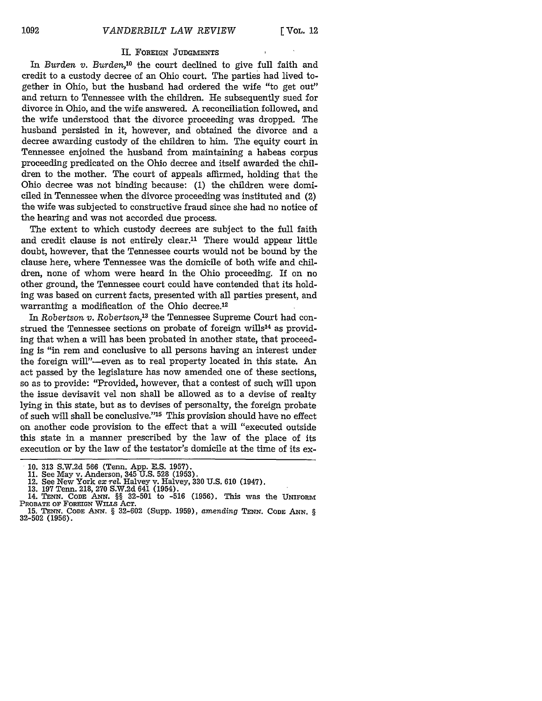#### II. FOREIGN **JUDGMENTS**

In *Burden v. Burden*,<sup>10</sup> the court declined to give full faith and credit to a custody decree of an Ohio court. The parties had lived together in Ohio, but the husband had ordered the wife "to get out" and return to Tennessee with the children. He subsequently sued for divorce in Ohio, and the wife answered. A reconciliation followed, and the wife understood that the divorce proceeding was dropped. The husband persisted in it, however, and obtained the divorce and a decree awarding custody of the children to him. The equity court in Tennessee enjoined the husband from maintaining a habeas corpus proceeding predicated on the Ohio decree and itself awarded the children to the mother. The court of appeals affirmed, holding that the Ohio decree was not binding because: (1) the children were domiciled in Tennessee when the divorce proceeding was instituted and (2) the wife was subjected to constructive fraud since she had no notice of the hearing and was not accorded due process.

The extent to which custody decrees are subject to the full faith and credit clause is not entirely clear.<sup>11</sup> There would appear little doubt, however, that the Tennessee courts would not be bound by the clause here, where Tennessee was the domicile of both wife and children, none of whom were heard in the Ohio proceeding. If on no other ground, the Tennessee court could have contended that its holding was based on current facts, presented with all parties present, and warranting a modification of the Ohio decree.<sup>12</sup>

In *Robertson v. Robertson <sup>3</sup>*the Tennessee Supreme Court had construed the Tennessee sections on probate of foreign wills<sup>14</sup> as providing that when a will has been probated in another state, that proceeding is "in rem and conclusive to all persons having an interest under the foreign will"-even as to real property located in this state. An act passed by the legislature has now amended one of these sections, so as to provide: "Provided, however, that a contest of such will upon the issue devisavit vel non shall be allowed as to a devise of realty lying in this state, but as to devises of personalty, the foreign probate of such will shall be conclusive."<sup>15</sup> This provision should have no effect on another code provision to the effect that a will "executed outside this state in a manner prescribed by the law of the place of its execution or by the law of the testator's domicile at the time of its ex-

<sup>10. 313</sup> S.W.2d 566 (Tenn. App. E.S. 1957).

<sup>11.</sup> See May v. Anderson, 345 U.S. 528 (1953). 12. See New York *ex* rel. Halvey v. Halvey, 330 U.S. 610 (1947).

<sup>13. 197</sup> Tenn. 218, 270 S.W.2d 641 (1954). 14. **TENN. CODE** *ANN.* §§ **32-501** to **-516 (1956).** This was the UNiFOxM PROBATE OF FOREIGN WILLS AcT.

<sup>15.</sup> **TENN.** CODE *ANN.* § 32-602 (Supp. 1959), *amending* TENN. **CODE ANN.** *§* 32-502 (1956).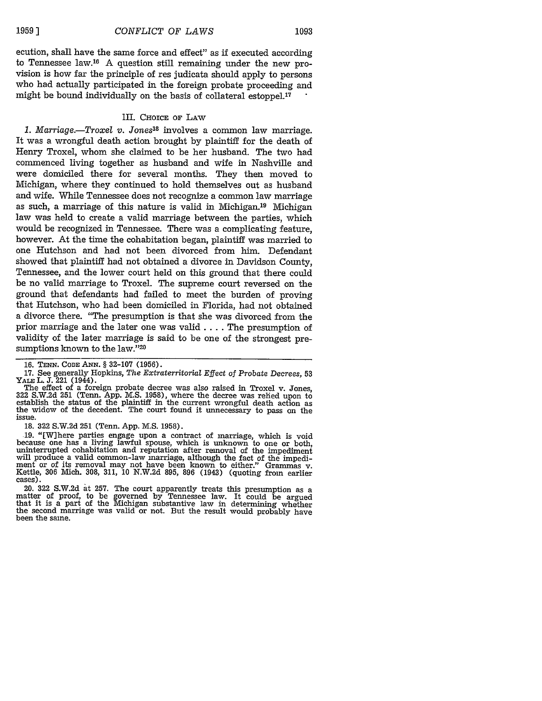ecution, shall have the same force and effect" as if executed according to Tennessee law.16 A question still remaining under the new provision is how far the principle of res judicata should apply to persons who had actually participated in the foreign probate proceeding and might be bound individually on the basis of collateral estoppel.<sup>17</sup>

#### III. CHOICE **OF** LAw

*1. Marriage.-Troxel v. Jones18* involves a common law marriage. It was a wrongful death action brought by plaintiff for the death of Henry Troxel, whom she claimed to be her husband. The two had commenced living together as husband and wife in Nashville and were domiciled there for several months. They then moved to Michigan, where they continued to hold themselves out as husband and wife. While Tennessee does not recognize a common law marriage as such, a marriage of this nature is valid in Michigan.<sup>19</sup> Michigan law was held to create a valid marriage between the parties, which would be recognized in Tennessee. There was a complicating feature, however. At the time the cohabitation began, plaintiff was married to one Hutchson and had not been divorced from him. Defendant showed that plaintiff had not obtained a divorce in Davidson County, Tennessee, and the lower court held on this ground that there could be no valid marriage to Troxel. The supreme court reversed on the ground that defendants had failed to meet the burden of proving that Iutchson, who had been domiciled in Florida, had not obtained a divorce there. "The presumption is that she was divorced from the prior marriage and the later one was valid **....** The presumption of validity of the later marriage is said to be one of the strongest presumptions known to the law."20

**17.** See generally Hopkins, *The Extraterritorial Effect* of *Probate Decrees,* 53

YALE L. J. 221 (1944). The effect of a foreign probate decree was also raised in Troxel v. Jones, 322 S.W.2d 251 (Tenn. App. M.S. 1958), where the decree was relied upon to establish the status of the plaintiff in the current wrongful death action as the widow of the decedent. The court found it unnecessary to pass on the issue.

18. 322 S.W.2d 251 (Tenn. App. M.S. 1958).

19. "[W]here parties engage upon a contract of marriage, which is void because one has a living lawful spouse, which is unknown to one or both, uninterrupted cohabitation and reputation after removal of the impediment will produce a valid common-law marriage, although the fact of the impedime Kettle, 306 Mich. 308, 311, 10 N.W.2d 895, 896 (1943) (quoting from earlier cases).

20. 322 S.W.2d at 257. The court apparently treats this presumption as a matter of proof, to be governed by Tennessee law. It could be argued that it is a part of the Michigan substantive law in determining whether the second marriage was valid or not. But the result would probably have been the same.

**<sup>16.</sup> TENN. CODE ANN.** § 32-107 (1956).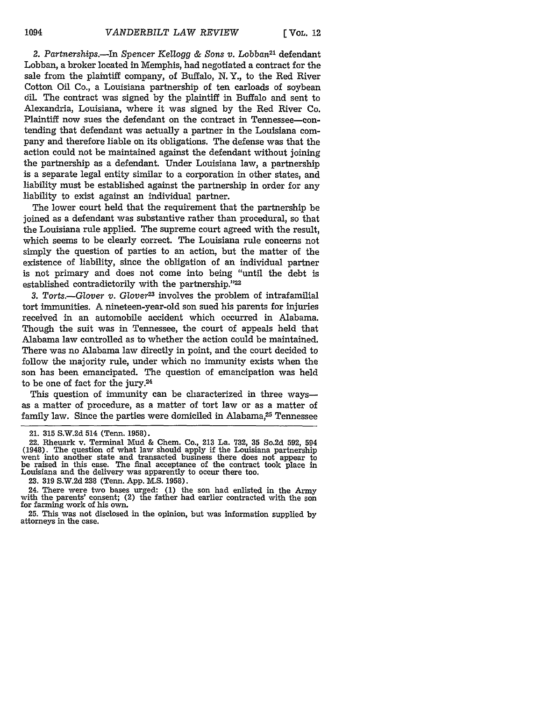2. Partnerships.-In Spencer Kellogg & Sons v. Lobban<sup>21</sup> defendant Lobban, a broker located in Memphis, had negotiated a contract for the sale from the plaintiff company, of Buffalo, N. Y., to the Red River Cotton Oil Co., a Louisiana partnership of ten carloads of soybean **6il.** The contract was signed by the plaintiff in Buffalo and sent to Alexandria, Louisiana, where it was signed by the Red River Co. Plaintiff now sues the defendant on the contract in Tennessee-contending that defendant was actually a partner in the Louisiana company and therefore liable on its obligations. The defense was that the action could not be maintained against the defendant without joining the partnership as a defendant. Under Louisiana law, a partnership is a separate legal entity similar to a corporation in other states, and liability must be established against the partnership in order for any liability to exist against an individual partner.

The lower court held that the requirement that the partnership be joined as a defendant was substantive rather than procedural, so that the Louisiana rule applied. The supreme court agreed with the result, which seems to be clearly correct. The Louisiana rule concerns not simply the question of parties to an action, but the matter of the existence of liability, since the obligation of an individual partner is not primary and does not come into being "until the debt is established contradictorily with the partnership."22

*3. Torts.-Glover v. Glover2 <sup>3</sup>*involves the problem of intrafamilial tort immunities. A nineteen-year-old son sued his parents for injuries received in an automobile accident which occurred in Alabama. Though the suit was in Tennessee, the court of appeals held that Alabama law controlled as to whether the action could be maintained. There was no Alabama law directly in point, and the court decided to follow the majority rule, under which no immunity exists when the son has been emancipated. The question of emancipation was held to be one of fact for the jury.24

This question of immunity can be characterized in three ways as a matter of procedure, as a matter of tort law or as a matter of family law. Since the parties were domiciled in Alabama,<sup>25</sup> Tennessee

<sup>21. 315</sup> S.W.2d 514 (Tenn. 1958).

<sup>22.</sup> Rheuark v. Terminal Mud & Chem. Co., 213 La. 732, 35 So.2d 592, 594 (1948). The question of what law should apply if the Louisiana partnership went into another state and transacted business there does not appear to be raised in this case. The final acceptance of the contract took place in Louisiana and the delivery was apparently to occur there too.

<sup>23.</sup> **319** S.W.2d 238 (Tenn. App. M.S. 1958).

<sup>24.</sup> There were two bases urged: (1) the son had enlisted in the Army with the parents' consent; (2) the father had earlier contracted with the son for farming work of his own.

**<sup>25.</sup>** This was not disclosed in the opinion, but was information supplied by attorneys in the case.